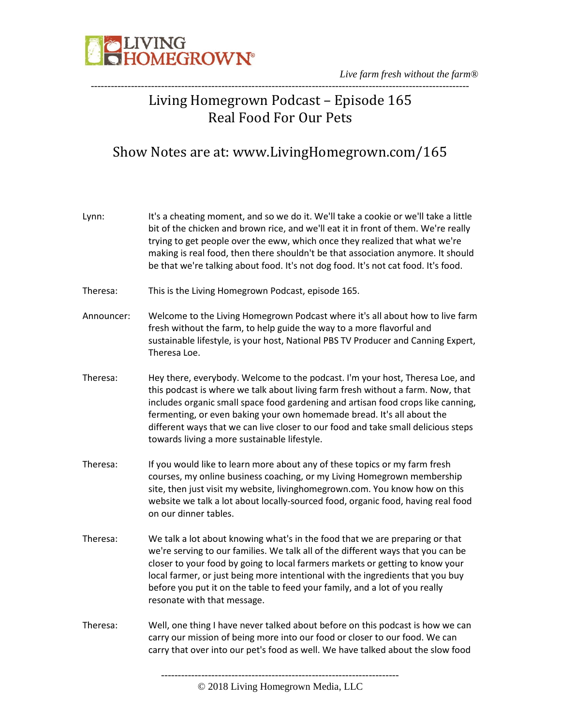

## Living Homegrown Podcast – Episode 165 Real Food For Our Pets

-----------------------------------------------------------------------------------------------------------------

### Show Notes are at: www.LivingHomegrown.com/165

| Lynn:      | It's a cheating moment, and so we do it. We'll take a cookie or we'll take a little<br>bit of the chicken and brown rice, and we'll eat it in front of them. We're really<br>trying to get people over the eww, which once they realized that what we're<br>making is real food, then there shouldn't be that association anymore. It should<br>be that we're talking about food. It's not dog food. It's not cat food. It's food.                                  |
|------------|---------------------------------------------------------------------------------------------------------------------------------------------------------------------------------------------------------------------------------------------------------------------------------------------------------------------------------------------------------------------------------------------------------------------------------------------------------------------|
| Theresa:   | This is the Living Homegrown Podcast, episode 165.                                                                                                                                                                                                                                                                                                                                                                                                                  |
| Announcer: | Welcome to the Living Homegrown Podcast where it's all about how to live farm<br>fresh without the farm, to help guide the way to a more flavorful and<br>sustainable lifestyle, is your host, National PBS TV Producer and Canning Expert,<br>Theresa Loe.                                                                                                                                                                                                         |
| Theresa:   | Hey there, everybody. Welcome to the podcast. I'm your host, Theresa Loe, and<br>this podcast is where we talk about living farm fresh without a farm. Now, that<br>includes organic small space food gardening and artisan food crops like canning,<br>fermenting, or even baking your own homemade bread. It's all about the<br>different ways that we can live closer to our food and take small delicious steps<br>towards living a more sustainable lifestyle. |
| Theresa:   | If you would like to learn more about any of these topics or my farm fresh<br>courses, my online business coaching, or my Living Homegrown membership<br>site, then just visit my website, livinghomegrown.com. You know how on this<br>website we talk a lot about locally-sourced food, organic food, having real food<br>on our dinner tables.                                                                                                                   |
| Theresa:   | We talk a lot about knowing what's in the food that we are preparing or that<br>we're serving to our families. We talk all of the different ways that you can be<br>closer to your food by going to local farmers markets or getting to know your<br>local farmer, or just being more intentional with the ingredients that you buy<br>before you put it on the table to feed your family, and a lot of you really<br>resonate with that message.                   |
| Theresa:   | Well, one thing I have never talked about before on this podcast is how we can<br>carry our mission of being more into our food or closer to our food. We can<br>carry that over into our pet's food as well. We have talked about the slow food                                                                                                                                                                                                                    |
|            |                                                                                                                                                                                                                                                                                                                                                                                                                                                                     |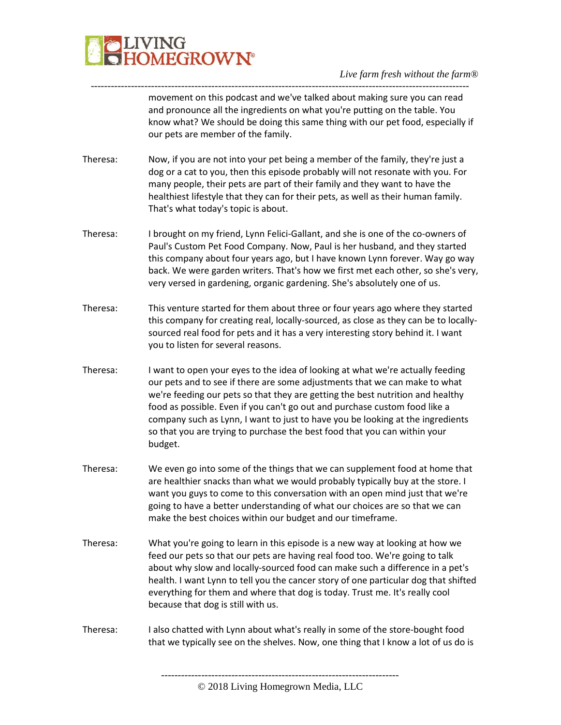

---------------------------------------------------------------------------------------------------------------- movement on this podcast and we've talked about making sure you can read and pronounce all the ingredients on what you're putting on the table. You know what? We should be doing this same thing with our pet food, especially if our pets are member of the family.

- Theresa: Now, if you are not into your pet being a member of the family, they're just a dog or a cat to you, then this episode probably will not resonate with you. For many people, their pets are part of their family and they want to have the healthiest lifestyle that they can for their pets, as well as their human family. That's what today's topic is about.
- Theresa: I brought on my friend, Lynn Felici-Gallant, and she is one of the co-owners of Paul's Custom Pet Food Company. Now, Paul is her husband, and they started this company about four years ago, but I have known Lynn forever. Way go way back. We were garden writers. That's how we first met each other, so she's very, very versed in gardening, organic gardening. She's absolutely one of us.
- Theresa: This venture started for them about three or four years ago where they started this company for creating real, locally-sourced, as close as they can be to locallysourced real food for pets and it has a very interesting story behind it. I want you to listen for several reasons.
- Theresa: I want to open your eyes to the idea of looking at what we're actually feeding our pets and to see if there are some adjustments that we can make to what we're feeding our pets so that they are getting the best nutrition and healthy food as possible. Even if you can't go out and purchase custom food like a company such as Lynn, I want to just to have you be looking at the ingredients so that you are trying to purchase the best food that you can within your budget.
- Theresa: We even go into some of the things that we can supplement food at home that are healthier snacks than what we would probably typically buy at the store. I want you guys to come to this conversation with an open mind just that we're going to have a better understanding of what our choices are so that we can make the best choices within our budget and our timeframe.
- Theresa: What you're going to learn in this episode is a new way at looking at how we feed our pets so that our pets are having real food too. We're going to talk about why slow and locally-sourced food can make such a difference in a pet's health. I want Lynn to tell you the cancer story of one particular dog that shifted everything for them and where that dog is today. Trust me. It's really cool because that dog is still with us.
- Theresa: I also chatted with Lynn about what's really in some of the store-bought food that we typically see on the shelves. Now, one thing that I know a lot of us do is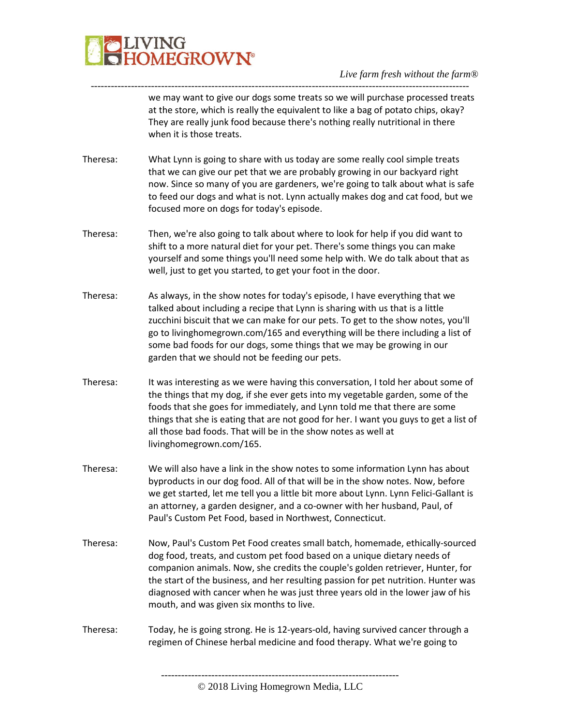

we may want to give our dogs some treats so we will purchase processed treats at the store, which is really the equivalent to like a bag of potato chips, okay? They are really junk food because there's nothing really nutritional in there when it is those treats.

Theresa: What Lynn is going to share with us today are some really cool simple treats that we can give our pet that we are probably growing in our backyard right now. Since so many of you are gardeners, we're going to talk about what is safe to feed our dogs and what is not. Lynn actually makes dog and cat food, but we focused more on dogs for today's episode.

-----------------------------------------------------------------------------------------------------------------

- Theresa: Then, we're also going to talk about where to look for help if you did want to shift to a more natural diet for your pet. There's some things you can make yourself and some things you'll need some help with. We do talk about that as well, just to get you started, to get your foot in the door.
- Theresa: As always, in the show notes for today's episode, I have everything that we talked about including a recipe that Lynn is sharing with us that is a little zucchini biscuit that we can make for our pets. To get to the show notes, you'll go to livinghomegrown.com/165 and everything will be there including a list of some bad foods for our dogs, some things that we may be growing in our garden that we should not be feeding our pets.
- Theresa: It was interesting as we were having this conversation, I told her about some of the things that my dog, if she ever gets into my vegetable garden, some of the foods that she goes for immediately, and Lynn told me that there are some things that she is eating that are not good for her. I want you guys to get a list of all those bad foods. That will be in the show notes as well at livinghomegrown.com/165.
- Theresa: We will also have a link in the show notes to some information Lynn has about byproducts in our dog food. All of that will be in the show notes. Now, before we get started, let me tell you a little bit more about Lynn. Lynn Felici-Gallant is an attorney, a garden designer, and a co-owner with her husband, Paul, of Paul's Custom Pet Food, based in Northwest, Connecticut.
- Theresa: Now, Paul's Custom Pet Food creates small batch, homemade, ethically-sourced dog food, treats, and custom pet food based on a unique dietary needs of companion animals. Now, she credits the couple's golden retriever, Hunter, for the start of the business, and her resulting passion for pet nutrition. Hunter was diagnosed with cancer when he was just three years old in the lower jaw of his mouth, and was given six months to live.
- Theresa: Today, he is going strong. He is 12-years-old, having survived cancer through a regimen of Chinese herbal medicine and food therapy. What we're going to

<sup>©</sup> 2018 Living Homegrown Media, LLC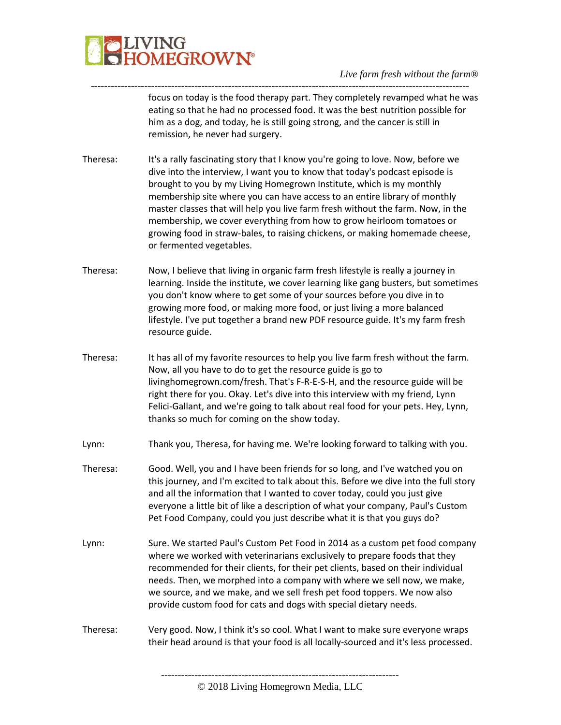

---------------------------------------------------------------------------------------------------------------- focus on today is the food therapy part. They completely revamped what he was eating so that he had no processed food. It was the best nutrition possible for him as a dog, and today, he is still going strong, and the cancer is still in remission, he never had surgery.

- Theresa: It's a rally fascinating story that I know you're going to love. Now, before we dive into the interview, I want you to know that today's podcast episode is brought to you by my Living Homegrown Institute, which is my monthly membership site where you can have access to an entire library of monthly master classes that will help you live farm fresh without the farm. Now, in the membership, we cover everything from how to grow heirloom tomatoes or growing food in straw-bales, to raising chickens, or making homemade cheese, or fermented vegetables.
- Theresa: Now, I believe that living in organic farm fresh lifestyle is really a journey in learning. Inside the institute, we cover learning like gang busters, but sometimes you don't know where to get some of your sources before you dive in to growing more food, or making more food, or just living a more balanced lifestyle. I've put together a brand new PDF resource guide. It's my farm fresh resource guide.
- Theresa: It has all of my favorite resources to help you live farm fresh without the farm. Now, all you have to do to get the resource guide is go to livinghomegrown.com/fresh. That's F-R-E-S-H, and the resource guide will be right there for you. Okay. Let's dive into this interview with my friend, Lynn Felici-Gallant, and we're going to talk about real food for your pets. Hey, Lynn, thanks so much for coming on the show today.
- Lynn: Thank you, Theresa, for having me. We're looking forward to talking with you.
- Theresa: Good. Well, you and I have been friends for so long, and I've watched you on this journey, and I'm excited to talk about this. Before we dive into the full story and all the information that I wanted to cover today, could you just give everyone a little bit of like a description of what your company, Paul's Custom Pet Food Company, could you just describe what it is that you guys do?
- Lynn: Sure. We started Paul's Custom Pet Food in 2014 as a custom pet food company where we worked with veterinarians exclusively to prepare foods that they recommended for their clients, for their pet clients, based on their individual needs. Then, we morphed into a company with where we sell now, we make, we source, and we make, and we sell fresh pet food toppers. We now also provide custom food for cats and dogs with special dietary needs.
- Theresa: Very good. Now, I think it's so cool. What I want to make sure everyone wraps their head around is that your food is all locally-sourced and it's less processed.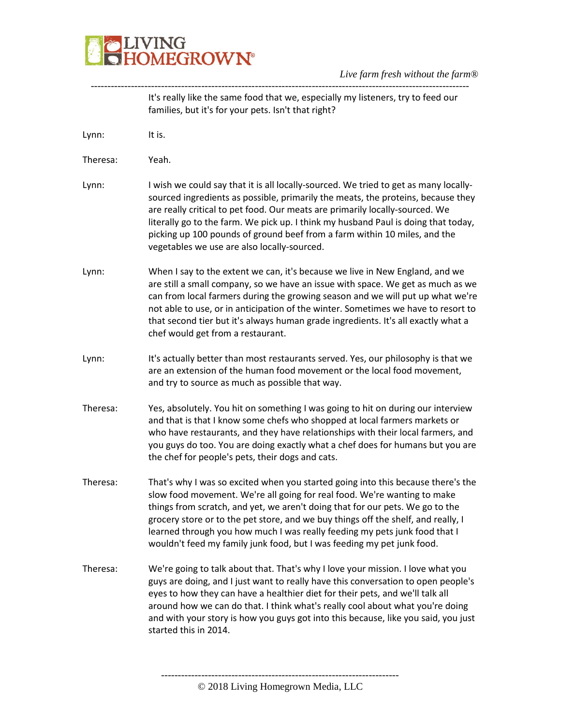

|          | It's really like the same food that we, especially my listeners, try to feed our<br>families, but it's for your pets. Isn't that right?                                                                                                                                                                                                                                                                                                                                                    |
|----------|--------------------------------------------------------------------------------------------------------------------------------------------------------------------------------------------------------------------------------------------------------------------------------------------------------------------------------------------------------------------------------------------------------------------------------------------------------------------------------------------|
| Lynn:    | It is.                                                                                                                                                                                                                                                                                                                                                                                                                                                                                     |
| Theresa: | Yeah.                                                                                                                                                                                                                                                                                                                                                                                                                                                                                      |
| Lynn:    | I wish we could say that it is all locally-sourced. We tried to get as many locally-<br>sourced ingredients as possible, primarily the meats, the proteins, because they<br>are really critical to pet food. Our meats are primarily locally-sourced. We<br>literally go to the farm. We pick up. I think my husband Paul is doing that today,<br>picking up 100 pounds of ground beef from a farm within 10 miles, and the<br>vegetables we use are also locally-sourced.                 |
| Lynn:    | When I say to the extent we can, it's because we live in New England, and we<br>are still a small company, so we have an issue with space. We get as much as we<br>can from local farmers during the growing season and we will put up what we're<br>not able to use, or in anticipation of the winter. Sometimes we have to resort to<br>that second tier but it's always human grade ingredients. It's all exactly what a<br>chef would get from a restaurant.                           |
| Lynn:    | It's actually better than most restaurants served. Yes, our philosophy is that we<br>are an extension of the human food movement or the local food movement,<br>and try to source as much as possible that way.                                                                                                                                                                                                                                                                            |
| Theresa: | Yes, absolutely. You hit on something I was going to hit on during our interview<br>and that is that I know some chefs who shopped at local farmers markets or<br>who have restaurants, and they have relationships with their local farmers, and<br>you guys do too. You are doing exactly what a chef does for humans but you are<br>the chef for people's pets, their dogs and cats.                                                                                                    |
| Theresa: | That's why I was so excited when you started going into this because there's the<br>slow food movement. We're all going for real food. We're wanting to make<br>things from scratch, and yet, we aren't doing that for our pets. We go to the<br>grocery store or to the pet store, and we buy things off the shelf, and really, I<br>learned through you how much I was really feeding my pets junk food that I<br>wouldn't feed my family junk food, but I was feeding my pet junk food. |
| Theresa: | We're going to talk about that. That's why I love your mission. I love what you<br>guys are doing, and I just want to really have this conversation to open people's<br>eyes to how they can have a healthier diet for their pets, and we'll talk all<br>around how we can do that. I think what's really cool about what you're doing<br>and with your story is how you guys got into this because, like you said, you just<br>started this in 2014.                                      |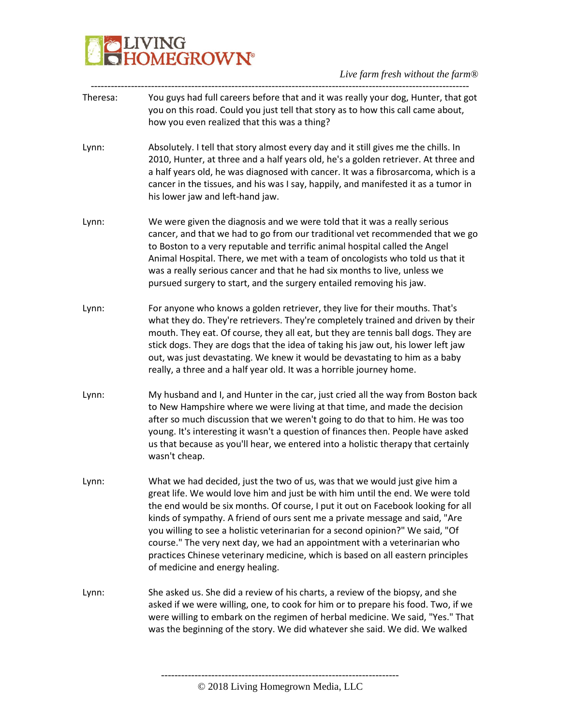# **BELIVING**<br>**BELIVING**<br> **BELIVING**

| Theresa: | You guys had full careers before that and it was really your dog, Hunter, that got<br>you on this road. Could you just tell that story as to how this call came about,<br>how you even realized that this was a thing?                                                                                                                                                                                                                                                                                                                                                                                                |
|----------|-----------------------------------------------------------------------------------------------------------------------------------------------------------------------------------------------------------------------------------------------------------------------------------------------------------------------------------------------------------------------------------------------------------------------------------------------------------------------------------------------------------------------------------------------------------------------------------------------------------------------|
|          |                                                                                                                                                                                                                                                                                                                                                                                                                                                                                                                                                                                                                       |
| Lynn:    | Absolutely. I tell that story almost every day and it still gives me the chills. In<br>2010, Hunter, at three and a half years old, he's a golden retriever. At three and<br>a half years old, he was diagnosed with cancer. It was a fibrosarcoma, which is a<br>cancer in the tissues, and his was I say, happily, and manifested it as a tumor in<br>his lower jaw and left-hand jaw.                                                                                                                                                                                                                              |
| Lynn:    | We were given the diagnosis and we were told that it was a really serious<br>cancer, and that we had to go from our traditional vet recommended that we go<br>to Boston to a very reputable and terrific animal hospital called the Angel<br>Animal Hospital. There, we met with a team of oncologists who told us that it<br>was a really serious cancer and that he had six months to live, unless we<br>pursued surgery to start, and the surgery entailed removing his jaw.                                                                                                                                       |
| Lynn:    | For anyone who knows a golden retriever, they live for their mouths. That's<br>what they do. They're retrievers. They're completely trained and driven by their<br>mouth. They eat. Of course, they all eat, but they are tennis ball dogs. They are<br>stick dogs. They are dogs that the idea of taking his jaw out, his lower left jaw<br>out, was just devastating. We knew it would be devastating to him as a baby<br>really, a three and a half year old. It was a horrible journey home.                                                                                                                      |
| Lynn:    | My husband and I, and Hunter in the car, just cried all the way from Boston back<br>to New Hampshire where we were living at that time, and made the decision<br>after so much discussion that we weren't going to do that to him. He was too<br>young. It's interesting it wasn't a question of finances then. People have asked<br>us that because as you'll hear, we entered into a holistic therapy that certainly<br>wasn't cheap.                                                                                                                                                                               |
| Lynn:    | What we had decided, just the two of us, was that we would just give him a<br>great life. We would love him and just be with him until the end. We were told<br>the end would be six months. Of course, I put it out on Facebook looking for all<br>kinds of sympathy. A friend of ours sent me a private message and said, "Are<br>you willing to see a holistic veterinarian for a second opinion?" We said, "Of<br>course." The very next day, we had an appointment with a veterinarian who<br>practices Chinese veterinary medicine, which is based on all eastern principles<br>of medicine and energy healing. |
| Lynn:    | She asked us. She did a review of his charts, a review of the biopsy, and she<br>asked if we were willing, one, to cook for him or to prepare his food. Two, if we<br>were willing to embark on the regimen of herbal medicine. We said, "Yes." That<br>was the beginning of the story. We did whatever she said. We did. We walked                                                                                                                                                                                                                                                                                   |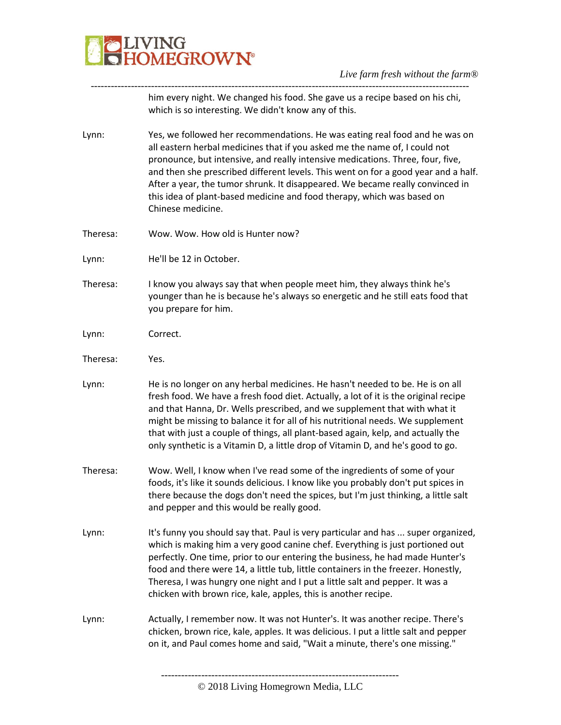

---------------------------------------------------------------------------------------------------------------- him every night. We changed his food. She gave us a recipe based on his chi, which is so interesting. We didn't know any of this.

- Lynn: Yes, we followed her recommendations. He was eating real food and he was on all eastern herbal medicines that if you asked me the name of, I could not pronounce, but intensive, and really intensive medications. Three, four, five, and then she prescribed different levels. This went on for a good year and a half. After a year, the tumor shrunk. It disappeared. We became really convinced in this idea of plant-based medicine and food therapy, which was based on Chinese medicine.
- Theresa: Wow. Wow. How old is Hunter now?
- Lynn: He'll be 12 in October.
- Theresa: I know you always say that when people meet him, they always think he's younger than he is because he's always so energetic and he still eats food that you prepare for him.
- Lynn: Correct.
- Theresa: Yes.
- Lynn: He is no longer on any herbal medicines. He hasn't needed to be. He is on all fresh food. We have a fresh food diet. Actually, a lot of it is the original recipe and that Hanna, Dr. Wells prescribed, and we supplement that with what it might be missing to balance it for all of his nutritional needs. We supplement that with just a couple of things, all plant-based again, kelp, and actually the only synthetic is a Vitamin D, a little drop of Vitamin D, and he's good to go.
- Theresa: Wow. Well, I know when I've read some of the ingredients of some of your foods, it's like it sounds delicious. I know like you probably don't put spices in there because the dogs don't need the spices, but I'm just thinking, a little salt and pepper and this would be really good.
- Lynn: It's funny you should say that. Paul is very particular and has ... super organized, which is making him a very good canine chef. Everything is just portioned out perfectly. One time, prior to our entering the business, he had made Hunter's food and there were 14, a little tub, little containers in the freezer. Honestly, Theresa, I was hungry one night and I put a little salt and pepper. It was a chicken with brown rice, kale, apples, this is another recipe.
- Lynn: Actually, I remember now. It was not Hunter's. It was another recipe. There's chicken, brown rice, kale, apples. It was delicious. I put a little salt and pepper on it, and Paul comes home and said, "Wait a minute, there's one missing."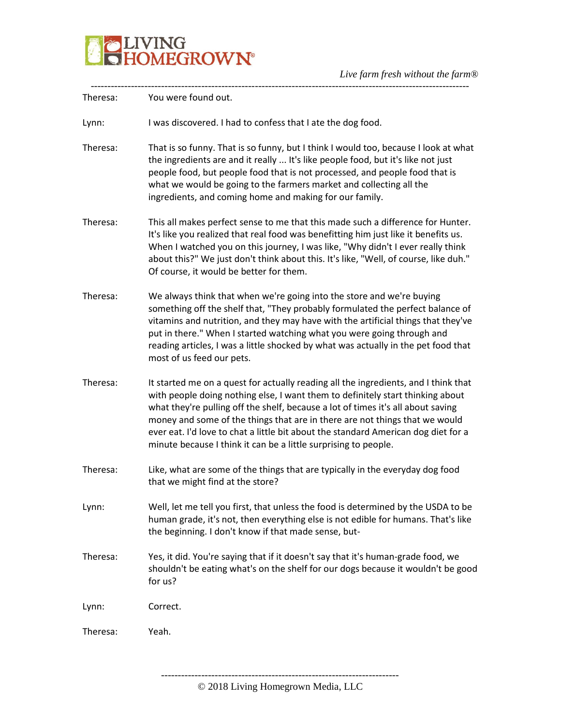

| Theresa: | You were found out.                                                                                                                                                                                                                                                                                                                                                                                                                                                                               |
|----------|---------------------------------------------------------------------------------------------------------------------------------------------------------------------------------------------------------------------------------------------------------------------------------------------------------------------------------------------------------------------------------------------------------------------------------------------------------------------------------------------------|
| Lynn:    | I was discovered. I had to confess that I ate the dog food.                                                                                                                                                                                                                                                                                                                                                                                                                                       |
| Theresa: | That is so funny. That is so funny, but I think I would too, because I look at what<br>the ingredients are and it really  It's like people food, but it's like not just<br>people food, but people food that is not processed, and people food that is<br>what we would be going to the farmers market and collecting all the<br>ingredients, and coming home and making for our family.                                                                                                          |
| Theresa: | This all makes perfect sense to me that this made such a difference for Hunter.<br>It's like you realized that real food was benefitting him just like it benefits us.<br>When I watched you on this journey, I was like, "Why didn't I ever really think<br>about this?" We just don't think about this. It's like, "Well, of course, like duh."<br>Of course, it would be better for them.                                                                                                      |
| Theresa: | We always think that when we're going into the store and we're buying<br>something off the shelf that, "They probably formulated the perfect balance of<br>vitamins and nutrition, and they may have with the artificial things that they've<br>put in there." When I started watching what you were going through and<br>reading articles, I was a little shocked by what was actually in the pet food that<br>most of us feed our pets.                                                         |
| Theresa: | It started me on a quest for actually reading all the ingredients, and I think that<br>with people doing nothing else, I want them to definitely start thinking about<br>what they're pulling off the shelf, because a lot of times it's all about saving<br>money and some of the things that are in there are not things that we would<br>ever eat. I'd love to chat a little bit about the standard American dog diet for a<br>minute because I think it can be a little surprising to people. |
| Theresa: | Like, what are some of the things that are typically in the everyday dog food<br>that we might find at the store?                                                                                                                                                                                                                                                                                                                                                                                 |
| Lynn:    | Well, let me tell you first, that unless the food is determined by the USDA to be<br>human grade, it's not, then everything else is not edible for humans. That's like<br>the beginning. I don't know if that made sense, but-                                                                                                                                                                                                                                                                    |
| Theresa: | Yes, it did. You're saying that if it doesn't say that it's human-grade food, we<br>shouldn't be eating what's on the shelf for our dogs because it wouldn't be good<br>for us?                                                                                                                                                                                                                                                                                                                   |
| Lynn:    | Correct.                                                                                                                                                                                                                                                                                                                                                                                                                                                                                          |
| Theresa: | Yeah.                                                                                                                                                                                                                                                                                                                                                                                                                                                                                             |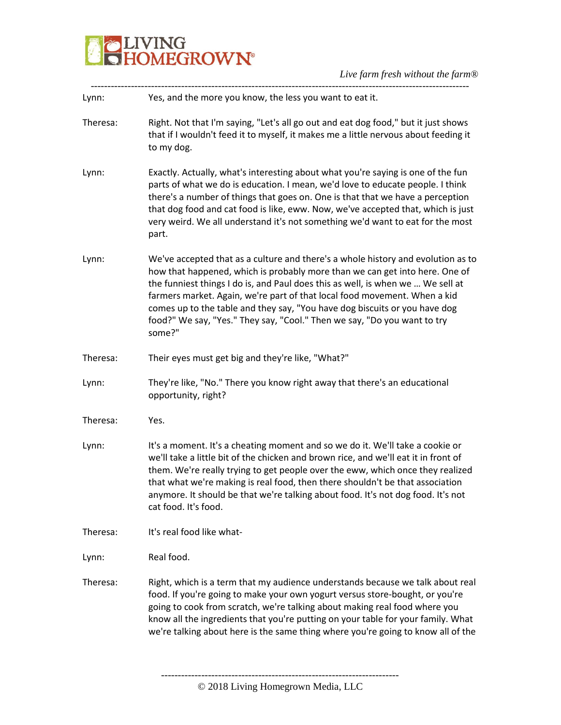

| Yes, and the more you know, the less you want to eat it.                                                                                                                                                                                                                                                                                                                                                                                                                                            |  |
|-----------------------------------------------------------------------------------------------------------------------------------------------------------------------------------------------------------------------------------------------------------------------------------------------------------------------------------------------------------------------------------------------------------------------------------------------------------------------------------------------------|--|
| Right. Not that I'm saying, "Let's all go out and eat dog food," but it just shows<br>Theresa:<br>that if I wouldn't feed it to myself, it makes me a little nervous about feeding it<br>to my dog.                                                                                                                                                                                                                                                                                                 |  |
| Exactly. Actually, what's interesting about what you're saying is one of the fun<br>parts of what we do is education. I mean, we'd love to educate people. I think<br>there's a number of things that goes on. One is that that we have a perception<br>that dog food and cat food is like, eww. Now, we've accepted that, which is just<br>very weird. We all understand it's not something we'd want to eat for the most<br>part.                                                                 |  |
| We've accepted that as a culture and there's a whole history and evolution as to<br>how that happened, which is probably more than we can get into here. One of<br>the funniest things I do is, and Paul does this as well, is when we  We sell at<br>farmers market. Again, we're part of that local food movement. When a kid<br>comes up to the table and they say, "You have dog biscuits or you have dog<br>food?" We say, "Yes." They say, "Cool." Then we say, "Do you want to try<br>some?" |  |
| Their eyes must get big and they're like, "What?"<br>Theresa:                                                                                                                                                                                                                                                                                                                                                                                                                                       |  |
| They're like, "No." There you know right away that there's an educational<br>opportunity, right?                                                                                                                                                                                                                                                                                                                                                                                                    |  |
| Theresa:<br>Yes.                                                                                                                                                                                                                                                                                                                                                                                                                                                                                    |  |
| It's a moment. It's a cheating moment and so we do it. We'll take a cookie or<br>we'll take a little bit of the chicken and brown rice, and we'll eat it in front of<br>them. We're really trying to get people over the eww, which once they realized<br>that what we're making is real food, then there shouldn't be that association<br>anymore. It should be that we're talking about food. It's not dog food. It's not<br>cat food. It's food.                                                 |  |
| It's real food like what-<br>Theresa:                                                                                                                                                                                                                                                                                                                                                                                                                                                               |  |
| Real food.                                                                                                                                                                                                                                                                                                                                                                                                                                                                                          |  |
| Right, which is a term that my audience understands because we talk about real<br>Theresa:<br>food. If you're going to make your own yogurt versus store-bought, or you're<br>going to cook from scratch, we're talking about making real food where you<br>know all the ingredients that you're putting on your table for your family. What<br>we're talking about here is the same thing where you're going to know all of the                                                                    |  |
|                                                                                                                                                                                                                                                                                                                                                                                                                                                                                                     |  |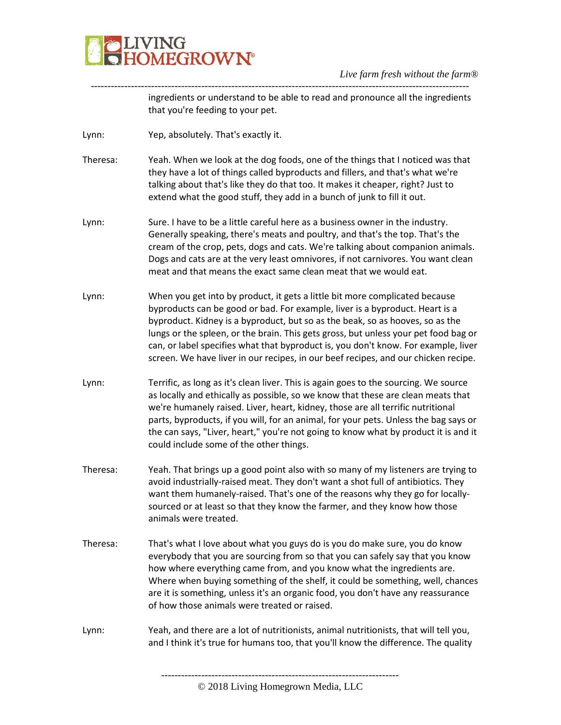

---------------------------------------------------------------------------------------------------------------- ingredients or understand to be able to read and pronounce all the ingredients that you're feeding to your pet.

Lynn: Yep, absolutely. That's exactly it.

Theresa: Yeah. When we look at the dog foods, one of the things that I noticed was that they have a lot of things called byproducts and fillers, and that's what we're talking about that's like they do that too. It makes it cheaper, right? Just to extend what the good stuff, they add in a bunch of junk to fill it out.

- Lynn: Sure. I have to be a little careful here as a business owner in the industry. Generally speaking, there's meats and poultry, and that's the top. That's the cream of the crop, pets, dogs and cats. We're talking about companion animals. Dogs and cats are at the very least omnivores, if not carnivores. You want clean meat and that means the exact same clean meat that we would eat.
- Lynn: When you get into by product, it gets a little bit more complicated because byproducts can be good or bad. For example, liver is a byproduct. Heart is a byproduct. Kidney is a byproduct, but so as the beak, so as hooves, so as the lungs or the spleen, or the brain. This gets gross, but unless your pet food bag or can, or label specifies what that byproduct is, you don't know. For example, liver screen. We have liver in our recipes, in our beef recipes, and our chicken recipe.
- Lynn: Terrific, as long as it's clean liver. This is again goes to the sourcing. We source as locally and ethically as possible, so we know that these are clean meats that we're humanely raised. Liver, heart, kidney, those are all terrific nutritional parts, byproducts, if you will, for an animal, for your pets. Unless the bag says or the can says, "Liver, heart," you're not going to know what by product it is and it could include some of the other things.
- Theresa: Yeah. That brings up a good point also with so many of my listeners are trying to avoid industrially-raised meat. They don't want a shot full of antibiotics. They want them humanely-raised. That's one of the reasons why they go for locallysourced or at least so that they know the farmer, and they know how those animals were treated.
- Theresa: That's what I love about what you guys do is you do make sure, you do know everybody that you are sourcing from so that you can safely say that you know how where everything came from, and you know what the ingredients are. Where when buying something of the shelf, it could be something, well, chances are it is something, unless it's an organic food, you don't have any reassurance of how those animals were treated or raised.
- Lynn: Yeah, and there are a lot of nutritionists, animal nutritionists, that will tell you, and I think it's true for humans too, that you'll know the difference. The quality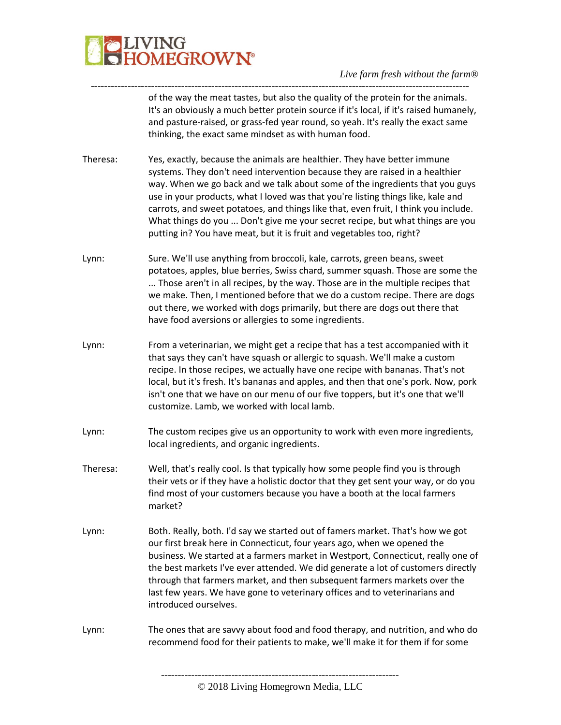

---------------------------------------------------------------------------------------------------------------- of the way the meat tastes, but also the quality of the protein for the animals. It's an obviously a much better protein source if it's local, if it's raised humanely, and pasture-raised, or grass-fed year round, so yeah. It's really the exact same thinking, the exact same mindset as with human food.

- Theresa: Yes, exactly, because the animals are healthier. They have better immune systems. They don't need intervention because they are raised in a healthier way. When we go back and we talk about some of the ingredients that you guys use in your products, what I loved was that you're listing things like, kale and carrots, and sweet potatoes, and things like that, even fruit, I think you include. What things do you ... Don't give me your secret recipe, but what things are you putting in? You have meat, but it is fruit and vegetables too, right?
- Lynn: Sure. We'll use anything from broccoli, kale, carrots, green beans, sweet potatoes, apples, blue berries, Swiss chard, summer squash. Those are some the ... Those aren't in all recipes, by the way. Those are in the multiple recipes that we make. Then, I mentioned before that we do a custom recipe. There are dogs out there, we worked with dogs primarily, but there are dogs out there that have food aversions or allergies to some ingredients.
- Lynn: From a veterinarian, we might get a recipe that has a test accompanied with it that says they can't have squash or allergic to squash. We'll make a custom recipe. In those recipes, we actually have one recipe with bananas. That's not local, but it's fresh. It's bananas and apples, and then that one's pork. Now, pork isn't one that we have on our menu of our five toppers, but it's one that we'll customize. Lamb, we worked with local lamb.
- Lynn: The custom recipes give us an opportunity to work with even more ingredients, local ingredients, and organic ingredients.
- Theresa: Well, that's really cool. Is that typically how some people find you is through their vets or if they have a holistic doctor that they get sent your way, or do you find most of your customers because you have a booth at the local farmers market?
- Lynn: Both. Really, both. I'd say we started out of famers market. That's how we got our first break here in Connecticut, four years ago, when we opened the business. We started at a farmers market in Westport, Connecticut, really one of the best markets I've ever attended. We did generate a lot of customers directly through that farmers market, and then subsequent farmers markets over the last few years. We have gone to veterinary offices and to veterinarians and introduced ourselves.
- Lynn: The ones that are savvy about food and food therapy, and nutrition, and who do recommend food for their patients to make, we'll make it for them if for some

<sup>-----------------------------------------------------------------------</sup> © 2018 Living Homegrown Media, LLC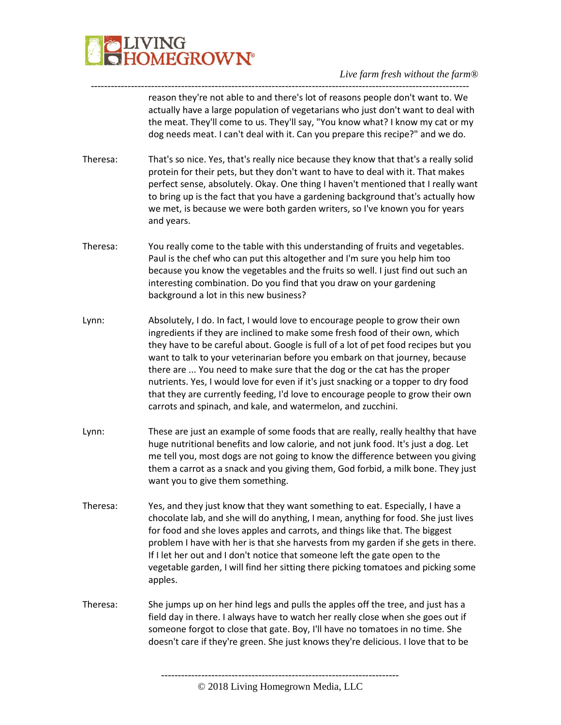

---------------------------------------------------------------------------------------------------------------- reason they're not able to and there's lot of reasons people don't want to. We actually have a large population of vegetarians who just don't want to deal with the meat. They'll come to us. They'll say, "You know what? I know my cat or my dog needs meat. I can't deal with it. Can you prepare this recipe?" and we do.

- Theresa: That's so nice. Yes, that's really nice because they know that that's a really solid protein for their pets, but they don't want to have to deal with it. That makes perfect sense, absolutely. Okay. One thing I haven't mentioned that I really want to bring up is the fact that you have a gardening background that's actually how we met, is because we were both garden writers, so I've known you for years and years.
- Theresa: You really come to the table with this understanding of fruits and vegetables. Paul is the chef who can put this altogether and I'm sure you help him too because you know the vegetables and the fruits so well. I just find out such an interesting combination. Do you find that you draw on your gardening background a lot in this new business?
- Lynn: Absolutely, I do. In fact, I would love to encourage people to grow their own ingredients if they are inclined to make some fresh food of their own, which they have to be careful about. Google is full of a lot of pet food recipes but you want to talk to your veterinarian before you embark on that journey, because there are ... You need to make sure that the dog or the cat has the proper nutrients. Yes, I would love for even if it's just snacking or a topper to dry food that they are currently feeding, I'd love to encourage people to grow their own carrots and spinach, and kale, and watermelon, and zucchini.
- Lynn: These are just an example of some foods that are really, really healthy that have huge nutritional benefits and low calorie, and not junk food. It's just a dog. Let me tell you, most dogs are not going to know the difference between you giving them a carrot as a snack and you giving them, God forbid, a milk bone. They just want you to give them something.
- Theresa: Yes, and they just know that they want something to eat. Especially, I have a chocolate lab, and she will do anything, I mean, anything for food. She just lives for food and she loves apples and carrots, and things like that. The biggest problem I have with her is that she harvests from my garden if she gets in there. If I let her out and I don't notice that someone left the gate open to the vegetable garden, I will find her sitting there picking tomatoes and picking some apples.
- Theresa: She jumps up on her hind legs and pulls the apples off the tree, and just has a field day in there. I always have to watch her really close when she goes out if someone forgot to close that gate. Boy, I'll have no tomatoes in no time. She doesn't care if they're green. She just knows they're delicious. I love that to be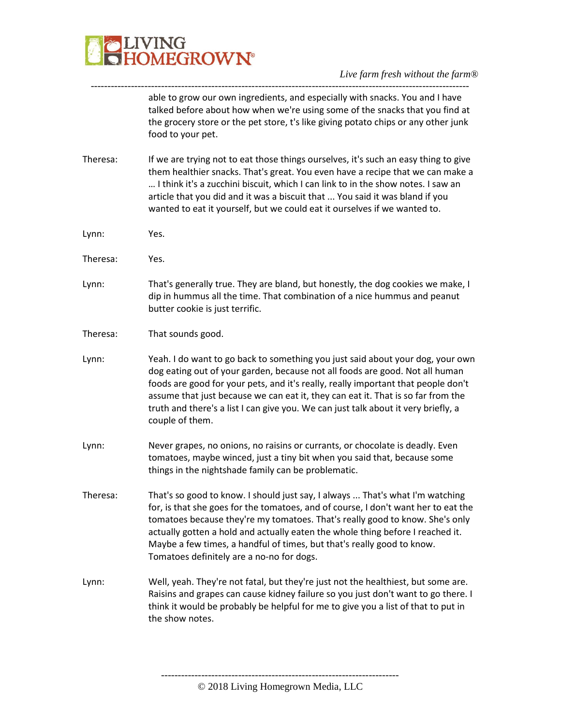

able to grow our own ingredients, and especially with snacks. You and I have talked before about how when we're using some of the snacks that you find at the grocery store or the pet store, t's like giving potato chips or any other junk food to your pet.

Theresa: If we are trying not to eat those things ourselves, it's such an easy thing to give them healthier snacks. That's great. You even have a recipe that we can make a … I think it's a zucchini biscuit, which I can link to in the show notes. I saw an article that you did and it was a biscuit that ... You said it was bland if you wanted to eat it yourself, but we could eat it ourselves if we wanted to.

-----------------------------------------------------------------------------------------------------------------

- Lynn: Yes.
- Theresa: Yes.
- Lynn: That's generally true. They are bland, but honestly, the dog cookies we make, I dip in hummus all the time. That combination of a nice hummus and peanut butter cookie is just terrific.
- Theresa: That sounds good.
- Lynn: Yeah. I do want to go back to something you just said about your dog, your own dog eating out of your garden, because not all foods are good. Not all human foods are good for your pets, and it's really, really important that people don't assume that just because we can eat it, they can eat it. That is so far from the truth and there's a list I can give you. We can just talk about it very briefly, a couple of them.
- Lynn: Never grapes, no onions, no raisins or currants, or chocolate is deadly. Even tomatoes, maybe winced, just a tiny bit when you said that, because some things in the nightshade family can be problematic.
- Theresa: That's so good to know. I should just say, I always ... That's what I'm watching for, is that she goes for the tomatoes, and of course, I don't want her to eat the tomatoes because they're my tomatoes. That's really good to know. She's only actually gotten a hold and actually eaten the whole thing before I reached it. Maybe a few times, a handful of times, but that's really good to know. Tomatoes definitely are a no-no for dogs.
- Lynn: Well, yeah. They're not fatal, but they're just not the healthiest, but some are. Raisins and grapes can cause kidney failure so you just don't want to go there. I think it would be probably be helpful for me to give you a list of that to put in the show notes.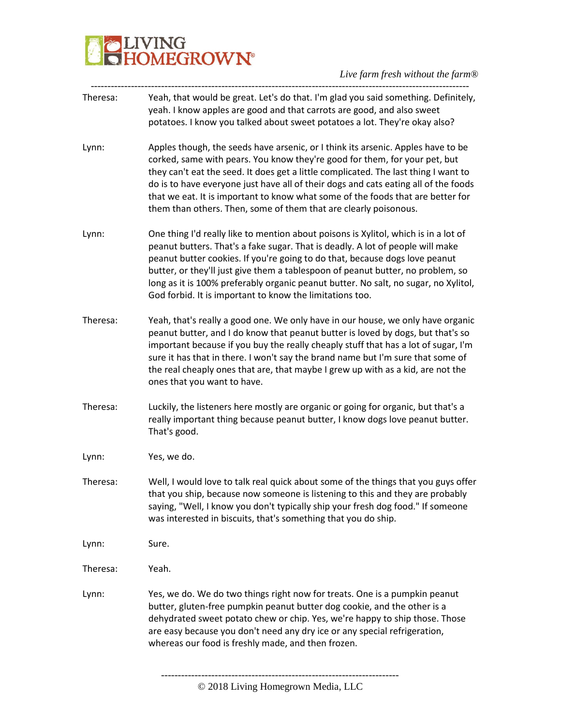# **BELIVING**<br>**BELIVING**<br> **BELIVING**

| Theresa: | Yeah, that would be great. Let's do that. I'm glad you said something. Definitely,<br>yeah. I know apples are good and that carrots are good, and also sweet<br>potatoes. I know you talked about sweet potatoes a lot. They're okay also?                                                                                                                                                                                                                                                          |
|----------|-----------------------------------------------------------------------------------------------------------------------------------------------------------------------------------------------------------------------------------------------------------------------------------------------------------------------------------------------------------------------------------------------------------------------------------------------------------------------------------------------------|
| Lynn:    | Apples though, the seeds have arsenic, or I think its arsenic. Apples have to be<br>corked, same with pears. You know they're good for them, for your pet, but<br>they can't eat the seed. It does get a little complicated. The last thing I want to<br>do is to have everyone just have all of their dogs and cats eating all of the foods<br>that we eat. It is important to know what some of the foods that are better for<br>them than others. Then, some of them that are clearly poisonous. |
| Lynn:    | One thing I'd really like to mention about poisons is Xylitol, which is in a lot of<br>peanut butters. That's a fake sugar. That is deadly. A lot of people will make<br>peanut butter cookies. If you're going to do that, because dogs love peanut<br>butter, or they'll just give them a tablespoon of peanut butter, no problem, so<br>long as it is 100% preferably organic peanut butter. No salt, no sugar, no Xylitol,<br>God forbid. It is important to know the limitations too.          |
| Theresa: | Yeah, that's really a good one. We only have in our house, we only have organic<br>peanut butter, and I do know that peanut butter is loved by dogs, but that's so<br>important because if you buy the really cheaply stuff that has a lot of sugar, I'm<br>sure it has that in there. I won't say the brand name but I'm sure that some of<br>the real cheaply ones that are, that maybe I grew up with as a kid, are not the<br>ones that you want to have.                                       |
| Theresa: | Luckily, the listeners here mostly are organic or going for organic, but that's a<br>really important thing because peanut butter, I know dogs love peanut butter.<br>That's good.                                                                                                                                                                                                                                                                                                                  |
| Lynn:    | Yes, we do.                                                                                                                                                                                                                                                                                                                                                                                                                                                                                         |
| Theresa: | Well, I would love to talk real quick about some of the things that you guys offer<br>that you ship, because now someone is listening to this and they are probably<br>saying, "Well, I know you don't typically ship your fresh dog food." If someone<br>was interested in biscuits, that's something that you do ship.                                                                                                                                                                            |
| Lynn:    | Sure.                                                                                                                                                                                                                                                                                                                                                                                                                                                                                               |
| Theresa: | Yeah.                                                                                                                                                                                                                                                                                                                                                                                                                                                                                               |
| Lynn:    | Yes, we do. We do two things right now for treats. One is a pumpkin peanut<br>butter, gluten-free pumpkin peanut butter dog cookie, and the other is a<br>dehydrated sweet potato chew or chip. Yes, we're happy to ship those. Those<br>are easy because you don't need any dry ice or any special refrigeration,<br>whereas our food is freshly made, and then frozen.                                                                                                                            |
|          |                                                                                                                                                                                                                                                                                                                                                                                                                                                                                                     |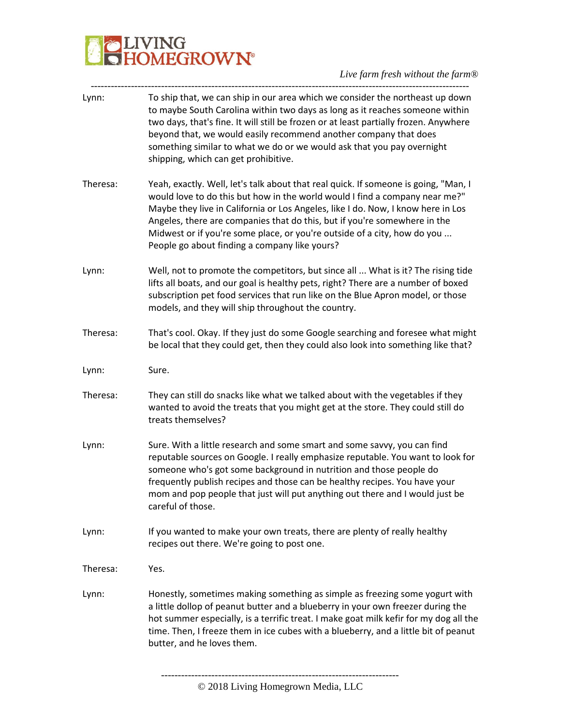

| Lynn:    | To ship that, we can ship in our area which we consider the northeast up down<br>to maybe South Carolina within two days as long as it reaches someone within<br>two days, that's fine. It will still be frozen or at least partially frozen. Anywhere<br>beyond that, we would easily recommend another company that does<br>something similar to what we do or we would ask that you pay overnight<br>shipping, which can get prohibitive.                     |
|----------|------------------------------------------------------------------------------------------------------------------------------------------------------------------------------------------------------------------------------------------------------------------------------------------------------------------------------------------------------------------------------------------------------------------------------------------------------------------|
| Theresa: | Yeah, exactly. Well, let's talk about that real quick. If someone is going, "Man, I<br>would love to do this but how in the world would I find a company near me?"<br>Maybe they live in California or Los Angeles, like I do. Now, I know here in Los<br>Angeles, there are companies that do this, but if you're somewhere in the<br>Midwest or if you're some place, or you're outside of a city, how do you<br>People go about finding a company like yours? |
| Lynn:    | Well, not to promote the competitors, but since all  What is it? The rising tide<br>lifts all boats, and our goal is healthy pets, right? There are a number of boxed<br>subscription pet food services that run like on the Blue Apron model, or those<br>models, and they will ship throughout the country.                                                                                                                                                    |
| Theresa: | That's cool. Okay. If they just do some Google searching and foresee what might<br>be local that they could get, then they could also look into something like that?                                                                                                                                                                                                                                                                                             |
| Lynn:    | Sure.                                                                                                                                                                                                                                                                                                                                                                                                                                                            |
| Theresa: | They can still do snacks like what we talked about with the vegetables if they<br>wanted to avoid the treats that you might get at the store. They could still do<br>treats themselves?                                                                                                                                                                                                                                                                          |
| Lynn:    | Sure. With a little research and some smart and some savvy, you can find<br>reputable sources on Google. I really emphasize reputable. You want to look for<br>someone who's got some background in nutrition and those people do<br>frequently publish recipes and those can be healthy recipes. You have your<br>mom and pop people that just will put anything out there and I would just be<br>careful of those.                                             |
| Lynn:    | If you wanted to make your own treats, there are plenty of really healthy<br>recipes out there. We're going to post one.                                                                                                                                                                                                                                                                                                                                         |
| Theresa: | Yes.                                                                                                                                                                                                                                                                                                                                                                                                                                                             |
| Lynn:    | Honestly, sometimes making something as simple as freezing some yogurt with<br>a little dollop of peanut butter and a blueberry in your own freezer during the<br>hot summer especially, is a terrific treat. I make goat milk kefir for my dog all the<br>time. Then, I freeze them in ice cubes with a blueberry, and a little bit of peanut<br>butter, and he loves them.                                                                                     |
|          |                                                                                                                                                                                                                                                                                                                                                                                                                                                                  |